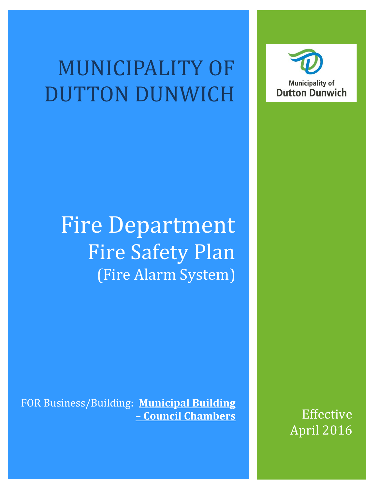# MUNICIPALITY OF DUTTON DUNWICH



# Fire Department Fire Safety Plan (Fire Alarm System)

FOR Business/Building: **Municipal Building – Council Chambers** Effective

April 2016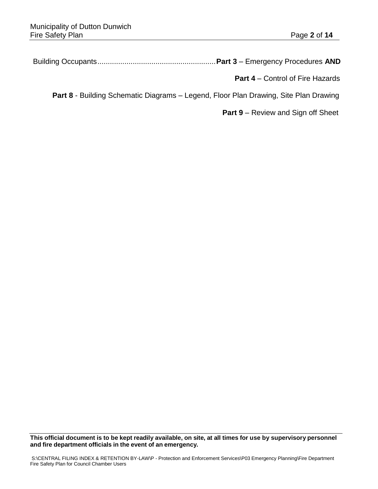Building Occupants.........................................................**Part 3** – Emergency Procedures **AND**

 **Part 4** – Control of Fire Hazards

**Part 8** - Building Schematic Diagrams – Legend, Floor Plan Drawing, Site Plan Drawing

**Part 9** – Review and Sign off Sheet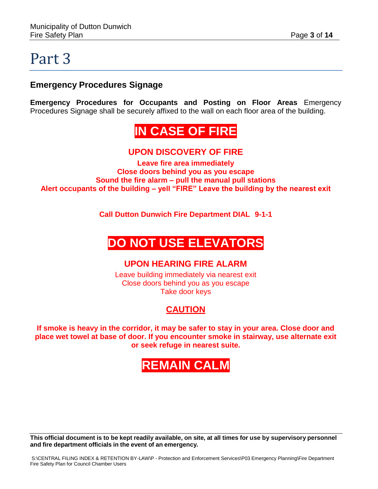### **Emergency Procedures Signage**

**Emergency Procedures for Occupants and Posting on Floor Areas** Emergency Procedures Signage shall be securely affixed to the wall on each floor area of the building.

# **IN CASE OF FIRE**

### **UPON DISCOVERY OF FIRE**

**Leave fire area immediately Close doors behind you as you escape Sound the fire alarm – pull the manual pull stations Alert occupants of the building – yell "FIRE" Leave the building by the nearest exit**

**Call Dutton Dunwich Fire Department DIAL 9-1-1**

# **DO NOT USE ELEVATORS**

#### **UPON HEARING FIRE ALARM**

Leave building immediately via nearest exit Close doors behind you as you escape Take door keys

### **CAUTION**

**If smoke is heavy in the corridor, it may be safer to stay in your area. Close door and place wet towel at base of door. If you encounter smoke in stairway, use alternate exit or seek refuge in nearest suite.**

# **REMAIN CALM**

This official document is to be kept readily available, on site, at all times for use by supervisory personnel **and fire department officials in the event of an emergency.**

S:\CENTRAL FILING INDEX & RETENTION BY-LAW\P - Protection and Enforcement Services\P03 Emergency Planning\Fire Department Fire Safety Plan for Council Chamber Users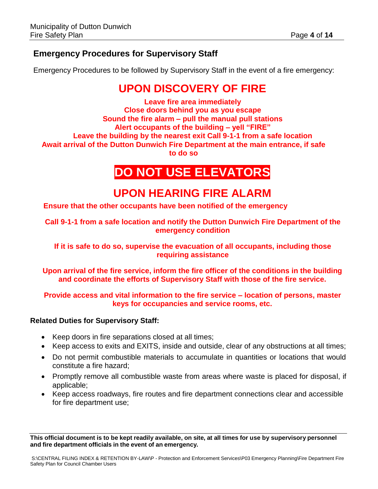### **Emergency Procedures for Supervisory Staff**

Emergency Procedures to be followed by Supervisory Staff in the event of a fire emergency:

## **UPON DISCOVERY OF FIRE**

**Leave fire area immediately Close doors behind you as you escape Sound the fire alarm – pull the manual pull stations Alert occupants of the building – yell "FIRE" Leave the building by the nearest exit Call 9-1-1 from a safe location Await arrival of the Dutton Dunwich Fire Department at the main entrance, if safe to do so**

## **DO NOT USE ELEVATORS**

## **UPON HEARING FIRE ALARM**

**Ensure that the other occupants have been notified of the emergency**

**Call 9-1-1 from a safe location and notify the Dutton Dunwich Fire Department of the emergency condition**

**If it is safe to do so, supervise the evacuation of all occupants, including those requiring assistance**

**Upon arrival of the fire service, inform the fire officer of the conditions in the building and coordinate the efforts of Supervisory Staff with those of the fire service.**

#### **Provide access and vital information to the fire service – location of persons, master keys for occupancies and service rooms, etc.**

#### **Related Duties for Supervisory Staff:**

- Keep doors in fire separations closed at all times;
- Keep access to exits and EXITS, inside and outside, clear of any obstructions at all times;
- Do not permit combustible materials to accumulate in quantities or locations that would constitute a fire hazard;
- Promptly remove all combustible waste from areas where waste is placed for disposal, if applicable;
- Keep access roadways, fire routes and fire department connections clear and accessible for fire department use;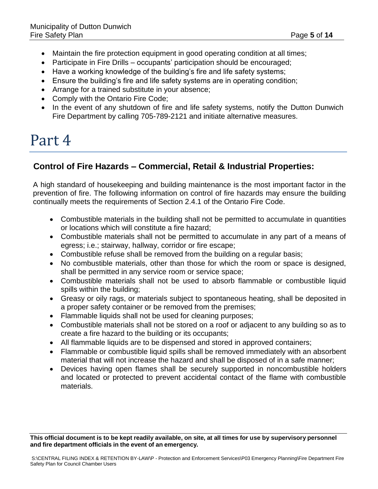- Maintain the fire protection equipment in good operating condition at all times;
- Participate in Fire Drills occupants' participation should be encouraged;
- Have a working knowledge of the building's fire and life safety systems;
- Ensure the building's fire and life safety systems are in operating condition;
- Arrange for a trained substitute in your absence;
- Comply with the Ontario Fire Code;
- In the event of any shutdown of fire and life safety systems, notify the Dutton Dunwich Fire Department by calling 705-789-2121 and initiate alternative measures.

### **Control of Fire Hazards – Commercial, Retail & Industrial Properties:**

A high standard of housekeeping and building maintenance is the most important factor in the prevention of fire. The following information on control of fire hazards may ensure the building continually meets the requirements of Section 2.4.1 of the Ontario Fire Code.

- Combustible materials in the building shall not be permitted to accumulate in quantities or locations which will constitute a fire hazard;
- Combustible materials shall not be permitted to accumulate in any part of a means of egress; i.e.; stairway, hallway, corridor or fire escape;
- Combustible refuse shall be removed from the building on a regular basis;
- No combustible materials, other than those for which the room or space is designed, shall be permitted in any service room or service space;
- Combustible materials shall not be used to absorb flammable or combustible liquid spills within the building;
- Greasy or oily rags, or materials subject to spontaneous heating, shall be deposited in a proper safety container or be removed from the premises;
- Flammable liquids shall not be used for cleaning purposes;
- Combustible materials shall not be stored on a roof or adjacent to any building so as to create a fire hazard to the building or its occupants;
- All flammable liquids are to be dispensed and stored in approved containers;
- Flammable or combustible liquid spills shall be removed immediately with an absorbent material that will not increase the hazard and shall be disposed of in a safe manner;
- Devices having open flames shall be securely supported in noncombustible holders and located or protected to prevent accidental contact of the flame with combustible materials.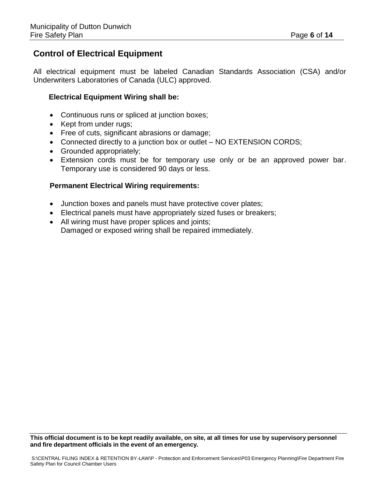### **Control of Electrical Equipment**

All electrical equipment must be labeled Canadian Standards Association (CSA) and/or Underwriters Laboratories of Canada (ULC) approved.

#### **Electrical Equipment Wiring shall be:**

- Continuous runs or spliced at junction boxes;
- Kept from under rugs:
- Free of cuts, significant abrasions or damage;
- Connected directly to a junction box or outlet NO EXTENSION CORDS;
- Grounded appropriately;
- Extension cords must be for temporary use only or be an approved power bar. Temporary use is considered 90 days or less.

#### **Permanent Electrical Wiring requirements:**

- Junction boxes and panels must have protective cover plates;
- Electrical panels must have appropriately sized fuses or breakers;
- All wiring must have proper splices and joints; Damaged or exposed wiring shall be repaired immediately.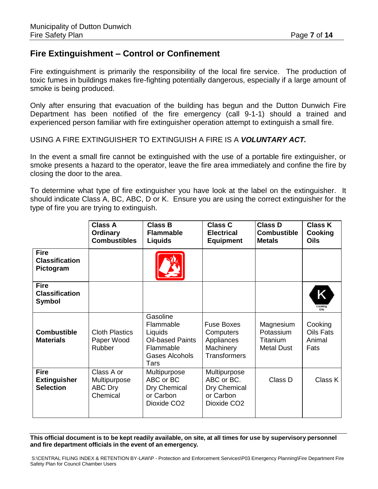### **Fire Extinguishment – Control or Confinement**

Fire extinguishment is primarily the responsibility of the local fire service. The production of toxic fumes in buildings makes fire-fighting potentially dangerous, especially if a large amount of smoke is being produced.

Only after ensuring that evacuation of the building has begun and the Dutton Dunwich Fire Department has been notified of the fire emergency (call 9-1-1) should a trained and experienced person familiar with fire extinguisher operation attempt to extinguish a small fire.

USING A FIRE EXTINGUISHER TO EXTINGUISH A FIRE IS A *VOLUNTARY ACT.*

In the event a small fire cannot be extinguished with the use of a portable fire extinguisher, or smoke presents a hazard to the operator, leave the fire area immediately and confine the fire by closing the door to the area.

To determine what type of fire extinguisher you have look at the label on the extinguisher. It should indicate Class A, BC, ABC, D or K. Ensure you are using the correct extinguisher for the type of fire you are trying to extinguish.

|                                                        | <b>Class A</b><br><b>Ordinary</b><br><b>Combustibles</b> | <b>Class B</b><br><b>Flammable</b><br><b>Liquids</b>                                               | <b>Class C</b><br><b>Electrical</b><br><b>Equipment</b>                            | <b>Class D</b><br><b>Combustible</b><br><b>Metals</b>   | <b>Class K</b><br>Cooking<br><b>Oils</b>      |
|--------------------------------------------------------|----------------------------------------------------------|----------------------------------------------------------------------------------------------------|------------------------------------------------------------------------------------|---------------------------------------------------------|-----------------------------------------------|
| <b>Fire</b><br><b>Classification</b><br>Pictogram      |                                                          |                                                                                                    |                                                                                    |                                                         |                                               |
| <b>Fire</b><br><b>Classification</b><br><b>Symbol</b>  |                                                          |                                                                                                    |                                                                                    |                                                         | Κ<br>Cooking<br>Oils                          |
| <b>Combustible</b><br><b>Materials</b>                 | <b>Cloth Plastics</b><br>Paper Wood<br><b>Rubber</b>     | Gasoline<br>Flammable<br>Liquids<br><b>Oil-based Paints</b><br>Flammable<br>Gases Alcohols<br>Tars | <b>Fuse Boxes</b><br>Computers<br>Appliances<br>Machinery<br><b>Transformers</b>   | Magnesium<br>Potassium<br>Titanium<br><b>Metal Dust</b> | Cooking<br><b>Oils Fats</b><br>Animal<br>Fats |
| <b>Fire</b><br><b>Extinguisher</b><br><b>Selection</b> | Class A or<br>Multipurpose<br><b>ABC Dry</b><br>Chemical | Multipurpose<br>ABC or BC<br>Dry Chemical<br>or Carbon<br>Dioxide CO <sub>2</sub>                  | Multipurpose<br>ABC or BC.<br>Dry Chemical<br>or Carbon<br>Dioxide CO <sub>2</sub> | Class D                                                 | Class K                                       |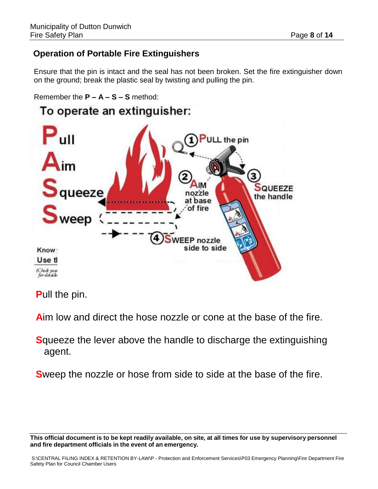### **Operation of Portable Fire Extinguishers**

Ensure that the pin is intact and the seal has not been broken. Set the fire extinguisher down on the ground; break the plastic seal by twisting and pulling the pin.

```
Remember the P – A – S – S method:
```


**P**ull the pin.

**A**im low and direct the hose nozzle or cone at the base of the fire.

**S**queeze the lever above the handle to discharge the extinguishing agent.

**S**weep the nozzle or hose from side to side at the base of the fire.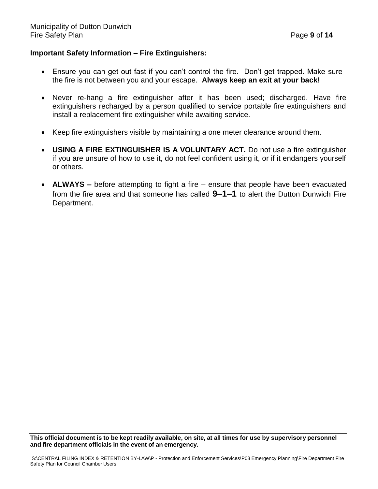#### **Important Safety Information – Fire Extinguishers:**

- Ensure you can get out fast if you can't control the fire. Don't get trapped. Make sure the fire is not between you and your escape. **Always keep an exit at your back!**
- Never re-hang a fire extinguisher after it has been used; discharged. Have fire extinguishers recharged by a person qualified to service portable fire extinguishers and install a replacement fire extinguisher while awaiting service.
- Keep fire extinguishers visible by maintaining a one meter clearance around them.
- **USING A FIRE EXTINGUISHER IS A VOLUNTARY ACT.** Do not use a fire extinguisher if you are unsure of how to use it, do not feel confident using it, or if it endangers yourself or others.
- **ALWAYS –** before attempting to fight a fire ensure that people have been evacuated from the fire area and that someone has called **9–1–1** to alert the Dutton Dunwich Fire Department.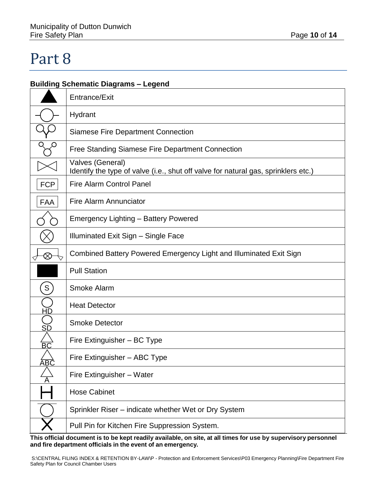#### **Building Schematic Diagrams – Legend**

|                 | Entrance/Exit                                                                                          |
|-----------------|--------------------------------------------------------------------------------------------------------|
|                 | Hydrant                                                                                                |
|                 | <b>Siamese Fire Department Connection</b>                                                              |
|                 | Free Standing Siamese Fire Department Connection                                                       |
|                 | Valves (General)<br>Identify the type of valve (i.e., shut off valve for natural gas, sprinklers etc.) |
| <b>FCP</b>      | <b>Fire Alarm Control Panel</b>                                                                        |
| <b>FAA</b>      | <b>Fire Alarm Annunciator</b>                                                                          |
|                 | <b>Emergency Lighting - Battery Powered</b>                                                            |
|                 | Illuminated Exit Sign - Single Face                                                                    |
| $\otimes$       | Combined Battery Powered Emergency Light and Illuminated Exit Sign                                     |
|                 | <b>Pull Station</b>                                                                                    |
| S               | Smoke Alarm                                                                                            |
| <u>HĎ</u>       | <b>Heat Detector</b>                                                                                   |
| SĎ              | <b>Smoke Detector</b>                                                                                  |
| $\overline{BC}$ | Fire Extinguisher - BC Type                                                                            |
| B(              | Fire Extinguisher - ABC Type                                                                           |
|                 | Fire Extinguisher - Water                                                                              |
|                 | <b>Hose Cabinet</b>                                                                                    |
|                 | Sprinkler Riser – indicate whether Wet or Dry System                                                   |
|                 | Pull Pin for Kitchen Fire Suppression System.                                                          |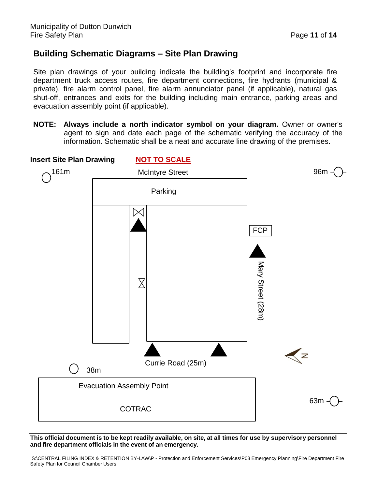### **Building Schematic Diagrams – Site Plan Drawing**

Site plan drawings of your building indicate the building's footprint and incorporate fire department truck access routes, fire department connections, fire hydrants (municipal & private), fire alarm control panel, fire alarm annunciator panel (if applicable), natural gas shut-off, entrances and exits for the building including main entrance, parking areas and evacuation assembly point (if applicable).

**NOTE: Always include a north indicator symbol on your diagram.** Owner or owner's agent to sign and date each page of the schematic verifying the accuracy of the information. Schematic shall be a neat and accurate line drawing of the premises.



This official document is to be kept readily available, on site, at all times for use by supervisory personnel **and fire department officials in the event of an emergency.**

S:\CENTRAL FILING INDEX & RETENTION BY-LAW\P - Protection and Enforcement Services\P03 Emergency Planning\Fire Department Fire Safety Plan for Council Chamber Users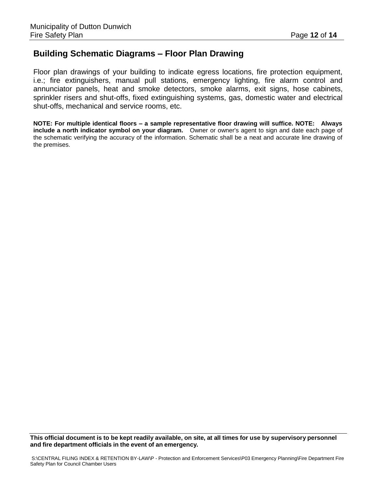### **Building Schematic Diagrams – Floor Plan Drawing**

Floor plan drawings of your building to indicate egress locations, fire protection equipment, i.e.; fire extinguishers, manual pull stations, emergency lighting, fire alarm control and annunciator panels, heat and smoke detectors, smoke alarms, exit signs, hose cabinets, sprinkler risers and shut-offs, fixed extinguishing systems, gas, domestic water and electrical shut-offs, mechanical and service rooms, etc.

**NOTE: For multiple identical floors – a sample representative floor drawing will suffice. NOTE: Always include a north indicator symbol on your diagram.** Owner or owner's agent to sign and date each page of the schematic verifying the accuracy of the information. Schematic shall be a neat and accurate line drawing of the premises.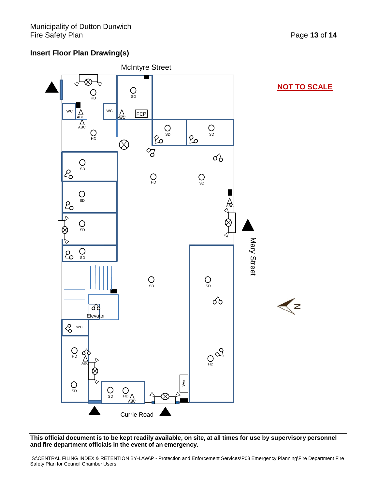#### **Insert Floor Plan Drawing(s)**



This official document is to be kept readily available, on site, at all times for use by supervisory personnel **and fire department officials in the event of an emergency.**

S:\CENTRAL FILING INDEX & RETENTION BY-LAW\P - Protection and Enforcement Services\P03 Emergency Planning\Fire Department Fire Safety Plan for Council Chamber Users